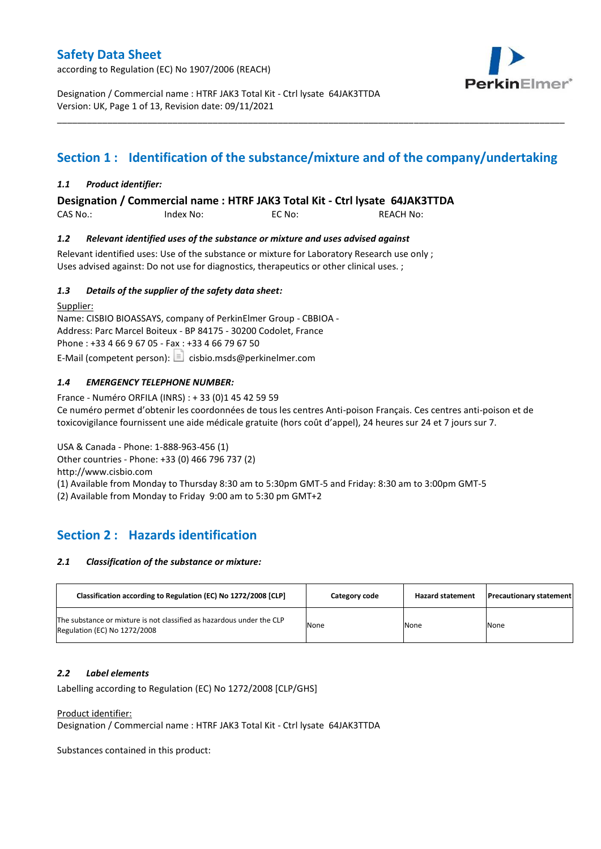according to Regulation (EC) No 1907/2006 (REACH)



Designation / Commercial name : HTRF JAK3 Total Kit - Ctrl lysate 64JAK3TTDA Version: UK, Page 1 of 13, Revision date: 09/11/2021

## **Section 1 : Identification of the substance/mixture and of the company/undertaking**

\_\_\_\_\_\_\_\_\_\_\_\_\_\_\_\_\_\_\_\_\_\_\_\_\_\_\_\_\_\_\_\_\_\_\_\_\_\_\_\_\_\_\_\_\_\_\_\_\_\_\_\_\_\_\_\_\_\_\_\_\_\_\_\_\_\_\_\_\_\_\_\_\_\_\_\_\_\_\_\_\_\_\_\_\_\_\_\_\_\_\_\_\_\_\_\_\_\_\_\_\_

### *1.1 Product identifier:*

**Designation / Commercial name : HTRF JAK3 Total Kit - Ctrl lysate 64JAK3TTDA** 

CAS No.: Index No: EC No: REACH No:

### *1.2 Relevant identified uses of the substance or mixture and uses advised against*

Relevant identified uses: Use of the substance or mixture for Laboratory Research use only ; Uses advised against: Do not use for diagnostics, therapeutics or other clinical uses. ;

### *1.3 Details of the supplier of the safety data sheet:*

Supplier: Name: CISBIO BIOASSAYS, company of PerkinElmer Group - CBBIOA - Address: Parc Marcel Boiteux - BP 84175 - 30200 Codolet, France Phone : +33 4 66 9 67 05 - Fax : +33 4 66 79 67 50 E-Mail (competent person):  $\Box$  cisbio.msds@perkinelmer.com

## *1.4 EMERGENCY TELEPHONE NUMBER:*

France - Numéro ORFILA (INRS) : + 33 (0)1 45 42 59 59 Ce numéro permet d'obtenir les coordonnées de tous les centres Anti-poison Français. Ces centres anti-poison et de toxicovigilance fournissent une aide médicale gratuite (hors coût d'appel), 24 heures sur 24 et 7 jours sur 7.

USA & Canada - Phone: 1-888-963-456 (1) Other countries - Phone: +33 (0) 466 796 737 (2)

http://www.cisbio.com

(1) Available from Monday to Thursday 8:30 am to 5:30pm GMT-5 and Friday: 8:30 am to 3:00pm GMT-5

(2) Available from Monday to Friday 9:00 am to 5:30 pm GMT+2

## **Section 2 : Hazards identification**

#### *2.1 Classification of the substance or mixture:*

| Classification according to Regulation (EC) No 1272/2008 [CLP]                                        | Category code | <b>Hazard statement</b> | <b>Precautionary statement</b> |
|-------------------------------------------------------------------------------------------------------|---------------|-------------------------|--------------------------------|
| The substance or mixture is not classified as hazardous under the CLP<br>Regulation (EC) No 1272/2008 | None          | None                    | None                           |

#### *2.2 Label elements*

Labelling according to Regulation (EC) No 1272/2008 [CLP/GHS]

Product identifier:

Designation / Commercial name : HTRF JAK3 Total Kit - Ctrl lysate 64JAK3TTDA

Substances contained in this product: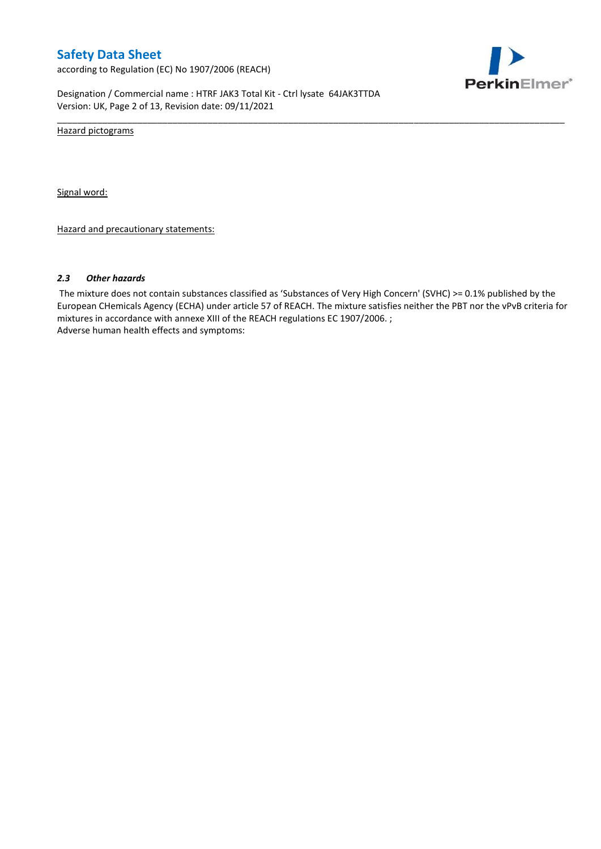according to Regulation (EC) No 1907/2006 (REACH)



Designation / Commercial name : HTRF JAK3 Total Kit - Ctrl lysate 64JAK3TTDA Version: UK, Page 2 of 13, Revision date: 09/11/2021

Hazard pictograms

Signal word:

Hazard and precautionary statements:

#### *2.3 Other hazards*

The mixture does not contain substances classified as 'Substances of Very High Concern' (SVHC) >= 0.1% published by the European CHemicals Agency (ECHA) under article 57 of REACH. The mixture satisfies neither the PBT nor the vPvB criteria for mixtures in accordance with annexe XIII of the REACH regulations EC 1907/2006. ; Adverse human health effects and symptoms:

\_\_\_\_\_\_\_\_\_\_\_\_\_\_\_\_\_\_\_\_\_\_\_\_\_\_\_\_\_\_\_\_\_\_\_\_\_\_\_\_\_\_\_\_\_\_\_\_\_\_\_\_\_\_\_\_\_\_\_\_\_\_\_\_\_\_\_\_\_\_\_\_\_\_\_\_\_\_\_\_\_\_\_\_\_\_\_\_\_\_\_\_\_\_\_\_\_\_\_\_\_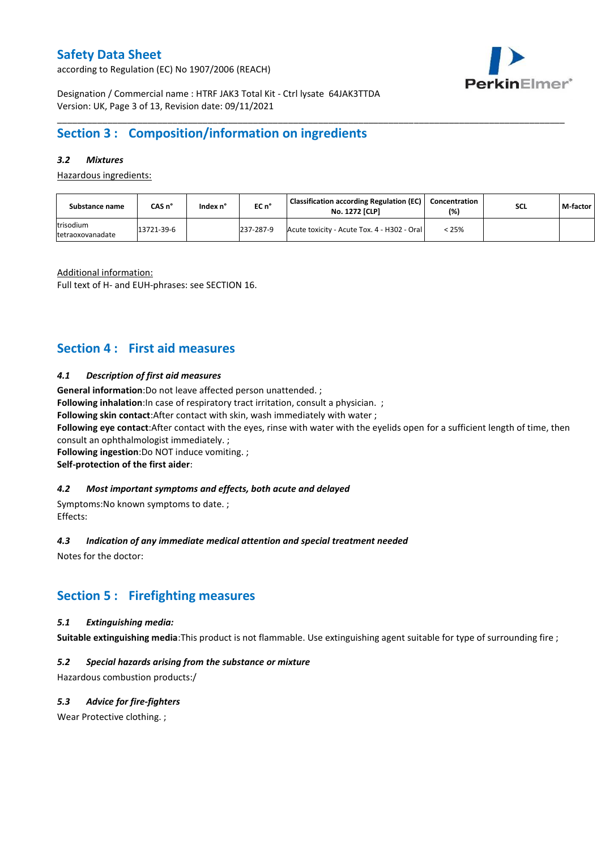according to Regulation (EC) No 1907/2006 (REACH)



Designation / Commercial name : HTRF JAK3 Total Kit - Ctrl lysate 64JAK3TTDA Version: UK, Page 3 of 13, Revision date: 09/11/2021

## **Section 3 : Composition/information on ingredients**

## *3.2 Mixtures*

Hazardous ingredients:

| Substance name                | CAS n°     | Index n° | $ECn$ °   | Classification according Regulation (EC)  <br><b>No. 1272 [CLP]</b> | Concentration<br>(%) | <b>SCL</b> | M-factor |
|-------------------------------|------------|----------|-----------|---------------------------------------------------------------------|----------------------|------------|----------|
| trisodium<br>tetraoxovanadate | 13721-39-6 |          | 237-287-9 | Acute toxicity - Acute Tox. 4 - H302 - Oral                         | < 25%                |            |          |

\_\_\_\_\_\_\_\_\_\_\_\_\_\_\_\_\_\_\_\_\_\_\_\_\_\_\_\_\_\_\_\_\_\_\_\_\_\_\_\_\_\_\_\_\_\_\_\_\_\_\_\_\_\_\_\_\_\_\_\_\_\_\_\_\_\_\_\_\_\_\_\_\_\_\_\_\_\_\_\_\_\_\_\_\_\_\_\_\_\_\_\_\_\_\_\_\_\_\_\_\_

Additional information:

Full text of H- and EUH-phrases: see SECTION 16.

## **Section 4 : First aid measures**

### *4.1 Description of first aid measures*

**General information**:Do not leave affected person unattended. ;

**Following inhalation:**In case of respiratory tract irritation, consult a physician. ;

**Following skin contact**:After contact with skin, wash immediately with water ;

**Following eye contact**:After contact with the eyes, rinse with water with the eyelids open for a sufficient length of time, then consult an ophthalmologist immediately. ;

**Following ingestion**:Do NOT induce vomiting. ;

**Self-protection of the first aider**:

#### *4.2 Most important symptoms and effects, both acute and delayed*

Symptoms:No known symptoms to date. ; Effects:

#### *4.3 Indication of any immediate medical attention and special treatment needed*

Notes for the doctor:

## **Section 5 : Firefighting measures**

### *5.1 Extinguishing media:*

**Suitable extinguishing media**:This product is not flammable. Use extinguishing agent suitable for type of surrounding fire ;

## *5.2 Special hazards arising from the substance or mixture*

Hazardous combustion products:/

## *5.3 Advice for fire-fighters*

Wear Protective clothing.;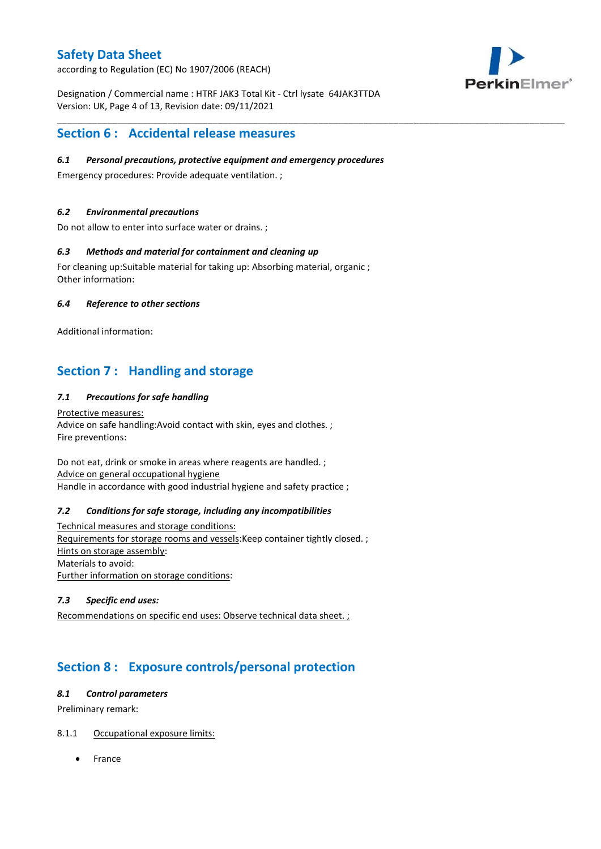according to Regulation (EC) No 1907/2006 (REACH)



Designation / Commercial name : HTRF JAK3 Total Kit - Ctrl lysate 64JAK3TTDA Version: UK, Page 4 of 13, Revision date: 09/11/2021

\_\_\_\_\_\_\_\_\_\_\_\_\_\_\_\_\_\_\_\_\_\_\_\_\_\_\_\_\_\_\_\_\_\_\_\_\_\_\_\_\_\_\_\_\_\_\_\_\_\_\_\_\_\_\_\_\_\_\_\_\_\_\_\_\_\_\_\_\_\_\_\_\_\_\_\_\_\_\_\_\_\_\_\_\_\_\_\_\_\_\_\_\_\_\_\_\_\_\_\_\_

## **Section 6 : Accidental release measures**

### *6.1 Personal precautions, protective equipment and emergency procedures*

Emergency procedures: Provide adequate ventilation. ;

### *6.2 Environmental precautions*

Do not allow to enter into surface water or drains. ;

### *6.3 Methods and material for containment and cleaning up*

For cleaning up:Suitable material for taking up: Absorbing material, organic ; Other information:

### *6.4 Reference to other sections*

Additional information:

## **Section 7 : Handling and storage**

## *7.1 Precautions for safe handling*

Protective measures: Advice on safe handling:Avoid contact with skin, eyes and clothes. ; Fire preventions:

Do not eat, drink or smoke in areas where reagents are handled. ; Advice on general occupational hygiene Handle in accordance with good industrial hygiene and safety practice ;

#### *7.2 Conditions for safe storage, including any incompatibilities*

Technical measures and storage conditions: Requirements for storage rooms and vessels:Keep container tightly closed. ; Hints on storage assembly: Materials to avoid: Further information on storage conditions:

### *7.3 Specific end uses:*

Recommendations on specific end uses: Observe technical data sheet. ;

## **Section 8 : Exposure controls/personal protection**

#### *8.1 Control parameters*

Preliminary remark:

## 8.1.1 Occupational exposure limits:

France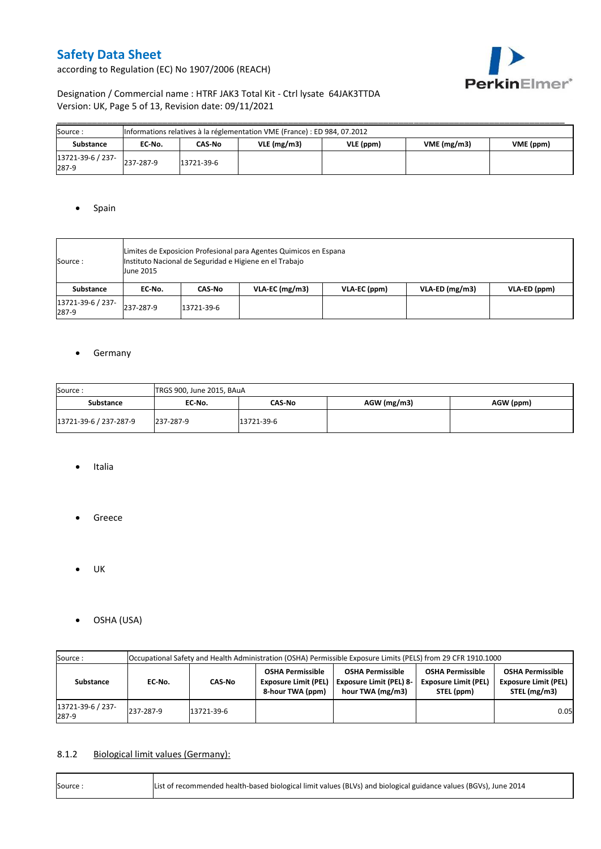according to Regulation (EC) No 1907/2006 (REACH)



## Designation / Commercial name : HTRF JAK3 Total Kit - Ctrl lysate 64JAK3TTDA Version: UK, Page 5 of 13, Revision date: 09/11/2021

| Source :                   | Informations relatives à la réglementation VME (France) : ED 984, 07.2012 |            |               |           |            |           |  |  |  |  |  |
|----------------------------|---------------------------------------------------------------------------|------------|---------------|-----------|------------|-----------|--|--|--|--|--|
| Substance                  | EC No.                                                                    | CAS-No     | $VLE$ (mg/m3) | VLE (ppm) | VME(mg/m3) | VME (ppm) |  |  |  |  |  |
| 13721-39-6 / 237-<br>287-9 | 237-287-9                                                                 | 13721-39-6 |               |           |            |           |  |  |  |  |  |

### • Spain

| Source :                   | <b>June 2015</b> | Limites de Exposicion Profesional para Agentes Quimicos en Espana<br>Instituto Nacional de Seguridad e Higiene en el Trabajo |                  |              |                |              |  |  |  |  |  |
|----------------------------|------------------|------------------------------------------------------------------------------------------------------------------------------|------------------|--------------|----------------|--------------|--|--|--|--|--|
| Substance                  | EC No.           | CAS No                                                                                                                       | $VLA-EC$ (mg/m3) | VLA-EC (ppm) | VLA-ED (mg/m3) | VLA-ED (ppm) |  |  |  |  |  |
| 13721-39-6 / 237-<br>287-9 | 237-287-9        | 13721-39-6                                                                                                                   |                  |              |                |              |  |  |  |  |  |

### **•** Germany

| Source:                | TRGS 900, June 2015, BAuA |            |             |           |  |  |  |  |  |  |
|------------------------|---------------------------|------------|-------------|-----------|--|--|--|--|--|--|
| <b>Substance</b>       | EC No.                    | CAS-No     | AGW (mg/m3) | AGW (ppm) |  |  |  |  |  |  |
| 13721-39-6 / 237-287-9 | 237-287-9                 | 13721-39-6 |             |           |  |  |  |  |  |  |

- Italia
- **•** Greece
- $\bullet$  UK
- OSHA (USA)

| Source:                       | Occupational Safety and Health Administration (OSHA) Permissible Exposure Limits (PELS) from 29 CFR 1910.1000 |                                                                            |                                                                               |                                                                                                                                                |  |      |  |  |  |  |
|-------------------------------|---------------------------------------------------------------------------------------------------------------|----------------------------------------------------------------------------|-------------------------------------------------------------------------------|------------------------------------------------------------------------------------------------------------------------------------------------|--|------|--|--|--|--|
| Substance<br>EC No.<br>CAS-No |                                                                                                               | <b>OSHA Permissible</b><br><b>Exposure Limit (PEL)</b><br>8-hour TWA (ppm) | <b>OSHA Permissible</b><br><b>Exposure Limit (PEL) 8-</b><br>hour TWA (mg/m3) | <b>OSHA Permissible</b><br><b>OSHA Permissible</b><br><b>Exposure Limit (PEL)</b><br><b>Exposure Limit (PEL)</b><br>STEL (mg/m3)<br>STEL (ppm) |  |      |  |  |  |  |
| 13721-39-6 / 237-<br>287-9    | 237-287-9                                                                                                     | 13721-39-6                                                                 |                                                                               |                                                                                                                                                |  | 0.05 |  |  |  |  |

## 8.1.2 Biological limit values (Germany):

| Source: | List of recommended health-based biological limit values (BLVs) and biological guidance values (BGVs), June 2014 |
|---------|------------------------------------------------------------------------------------------------------------------|
|---------|------------------------------------------------------------------------------------------------------------------|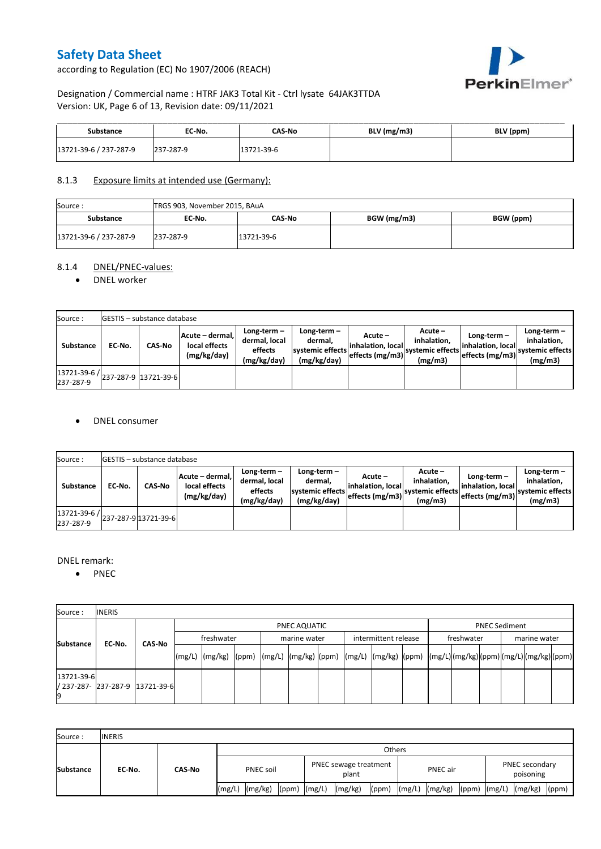according to Regulation (EC) No 1907/2006 (REACH)



## Designation / Commercial name : HTRF JAK3 Total Kit - Ctrl lysate 64JAK3TTDA Version: UK, Page 6 of 13, Revision date: 09/11/2021

| Substance              | EC No.    | CAS-No     | $BLV$ (mg/m3) | BLV (ppm) |
|------------------------|-----------|------------|---------------|-----------|
| 13721-39-6 / 237-287-9 | 237-287-9 | 13721-39-6 |               |           |

### 8.1.3 Exposure limits at intended use (Germany):

| Source:                | TRGS 903, November 2015, BAuA |            |             |           |  |  |  |  |  |  |
|------------------------|-------------------------------|------------|-------------|-----------|--|--|--|--|--|--|
| <b>Substance</b>       | EC No.                        | CAS-No     | BGW (mg/m3) | BGW (ppm) |  |  |  |  |  |  |
| 13721-39-6 / 237-287-9 | 237-287-9                     | 13721-39-6 |             |           |  |  |  |  |  |  |

## 8.1.4 DNEL/PNEC-values:

#### • DNEL worker

| Source:   |        | <b>GESTIS</b> – substance database |                                                 |                                                       |                                                          |                                                  |                                                       |                                                        |                                                          |  |  |  |  |  |  |
|-----------|--------|------------------------------------|-------------------------------------------------|-------------------------------------------------------|----------------------------------------------------------|--------------------------------------------------|-------------------------------------------------------|--------------------------------------------------------|----------------------------------------------------------|--|--|--|--|--|--|
| Substance | EC-No. | <b>CAS-No</b>                      | Acute - dermal,<br>local effects<br>(mg/kg/day) | Long-term-<br>dermal, local<br>effects<br>(mg/kg/day) | Long-term-<br>dermal.<br>systemic effects<br>(mg/kg/day) | Acute –<br>linhalation. local<br>effects (mg/m3) | Acute –<br>inhalation.<br>systemic effects<br>(mg/m3) | $Long-term -$<br>linhalation. local<br>effects (mg/m3) | Long-term-<br>inhalation.<br>systemic effects<br>(mg/m3) |  |  |  |  |  |  |
| 237-287-9 |        | 13721-39-6 / 237-287-9 13721-39-6  |                                                 |                                                       |                                                          |                                                  |                                                       |                                                        |                                                          |  |  |  |  |  |  |

### DNEL consumer

| Source:                   |        | <b>IGESTIS - substance database</b> |                                                 |                                                          |                                                          |                                                  |                                                         |                                                      |                                                             |
|---------------------------|--------|-------------------------------------|-------------------------------------------------|----------------------------------------------------------|----------------------------------------------------------|--------------------------------------------------|---------------------------------------------------------|------------------------------------------------------|-------------------------------------------------------------|
| <b>Substance</b>          | EC No. | CAS No                              | Acute - dermal,<br>local effects<br>(mg/kg/day) | Long-term $-$<br>dermal, local<br>effects<br>(mg/kg/day) | Long-term-<br>dermal.<br>systemic effects<br>(mg/kg/day) | Acute –<br>linhalation. local<br>effects (mg/m3) | $Acute -$<br>inhalation.<br>systemic effects<br>(mg/m3) | Long-term –<br>linhalation. local<br>effects (mg/m3) | $Long-term -$<br>inhalation.<br>systemic effects<br>(mg/m3) |
| 13721-39-6 /<br>237-287-9 |        | 237-287-9 13721-39-6                |                                                 |                                                          |                                                          |                                                  |                                                         |                                                      |                                                             |

#### DNEL remark:

• PNEC

| Source:          | <b>INERIS</b>                   |        |            |              |  |  |              |  |                      |  |            |                      |              |  |  |  |  |
|------------------|---------------------------------|--------|------------|--------------|--|--|--------------|--|----------------------|--|------------|----------------------|--------------|--|--|--|--|
| Substance        |                                 |        |            | PNEC AQUATIC |  |  |              |  |                      |  |            | <b>PNEC Sediment</b> |              |  |  |  |  |
|                  | EC No.                          | CAS-No | freshwater |              |  |  | marine water |  | intermittent release |  | freshwater |                      | marine water |  |  |  |  |
|                  |                                 |        |            |              |  |  |              |  |                      |  |            |                      |              |  |  |  |  |
| 13721-39-6<br>19 | / 237-287- 237-287-9 13721-39-6 |        |            |              |  |  |              |  |                      |  |            |                      |              |  |  |  |  |

| Source:          | <b>INERIS</b> |        |           |         |                                |  |         |          |  |                |                                    |  |
|------------------|---------------|--------|-----------|---------|--------------------------------|--|---------|----------|--|----------------|------------------------------------|--|
| <b>Substance</b> | EC No.        | CAS-No | Others    |         |                                |  |         |          |  |                |                                    |  |
|                  |               |        | PNEC soil |         | PNEC sewage treatment<br>plant |  |         | PNEC air |  |                | <b>PNEC</b> secondary<br>poisoning |  |
|                  |               |        | (mg/L)    | (mg/kg) | $(ppm)$ $(mg/L)$               |  | (mg/kg) | (ppm)    |  | (mg/L) (mg/kg) |                                    |  |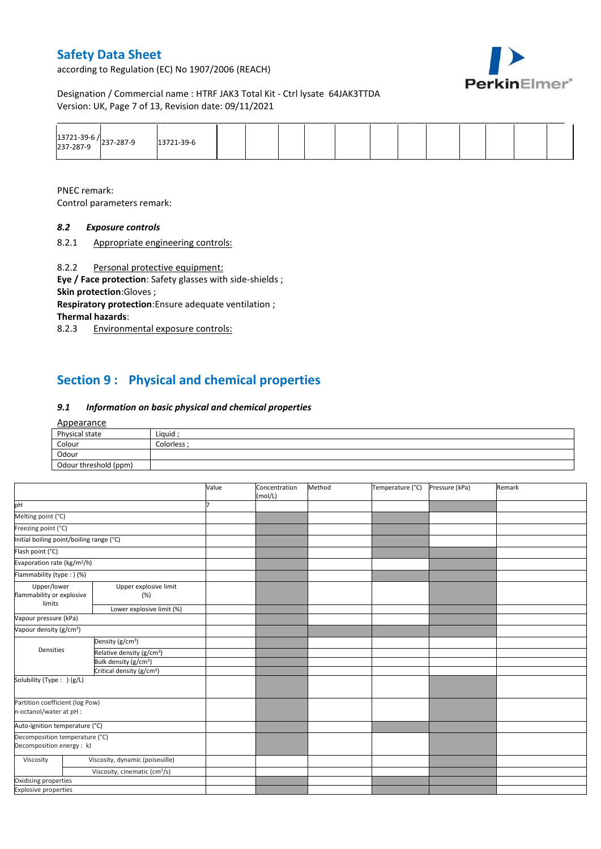according to Regulation (EC) No 1907/2006 (REACH)



Designation / Commercial name : HTRF JAK3 Total Kit - Ctrl lysate 64JAK3TTDA Version: UK, Page 7 of 13, Revision date: 09/11/2021

|                                     |            |  |  |  | ______ |  |  |  |
|-------------------------------------|------------|--|--|--|--------|--|--|--|
| 13721-39-6 /<br>237-287-9 237-287-9 | 13721-39-6 |  |  |  |        |  |  |  |

PNEC remark: Control parameters remark:

## *8.2 Exposure controls*

8.2.1 Appropriate engineering controls:

8.2.2 Personal protective equipment:

**Eye / Face protection**: Safety glasses with side-shields ; **Skin protection**:Gloves ;

**Respiratory protection**:Ensure adequate ventilation ; **Thermal hazards**:

8.2.3 Environmental exposure controls:

# **Section 9 : Physical and chemical properties**

### *9.1 Information on basic physical and chemical properties*

#### Appearance

| Physical state        | Liquid    |
|-----------------------|-----------|
| Colour                | Colorless |
| Odour                 |           |
| Odour threshold (ppm) |           |

|                                                             |                                           | Value | Concentration<br>(mol/L) | Method | Temperature (°C) | Pressure (kPa) | Remark |
|-------------------------------------------------------------|-------------------------------------------|-------|--------------------------|--------|------------------|----------------|--------|
| pH                                                          |                                           |       |                          |        |                  |                |        |
| Melting point (°C)                                          |                                           |       |                          |        |                  |                |        |
| Freezing point (°C)                                         |                                           |       |                          |        |                  |                |        |
| Initial boiling point/boiling range (°C)                    |                                           |       |                          |        |                  |                |        |
| Flash point (°C)                                            |                                           |       |                          |        |                  |                |        |
| Evaporation rate (kg/m <sup>2</sup> /h)                     |                                           |       |                          |        |                  |                |        |
| Flammability (type: ) (%)                                   |                                           |       |                          |        |                  |                |        |
| Upper/lower<br>flammability or explosive<br>limits          | Upper explosive limit<br>(%)              |       |                          |        |                  |                |        |
|                                                             | Lower explosive limit (%)                 |       |                          |        |                  |                |        |
| Vapour pressure (kPa)                                       |                                           |       |                          |        |                  |                |        |
| Vapour density (g/cm <sup>3</sup> )                         |                                           |       |                          |        |                  |                |        |
|                                                             | Density (g/cm <sup>3</sup> )              |       |                          |        |                  |                |        |
| Densities                                                   | Relative density (g/cm <sup>3</sup> )     |       |                          |        |                  |                |        |
|                                                             | Bulk density (g/cm <sup>3</sup> )         |       |                          |        |                  |                |        |
|                                                             | Critical density (g/cm <sup>3</sup> )     |       |                          |        |                  |                |        |
| Solubility (Type: ) (g/L)                                   |                                           |       |                          |        |                  |                |        |
| Partition coefficient (log Pow)<br>n-octanol/water at pH :  |                                           |       |                          |        |                  |                |        |
| Auto-ignition temperature (°C)                              |                                           |       |                          |        |                  |                |        |
| Decomposition temperature (°C)<br>Decomposition energy : kJ |                                           |       |                          |        |                  |                |        |
| Viscosity                                                   | Viscosity, dynamic (poiseuille)           |       |                          |        |                  |                |        |
|                                                             | Viscosity, cinematic (cm <sup>3</sup> /s) |       |                          |        |                  |                |        |
| Oxidising properties                                        |                                           |       |                          |        |                  |                |        |
| <b>Explosive properties</b>                                 |                                           |       |                          |        |                  |                |        |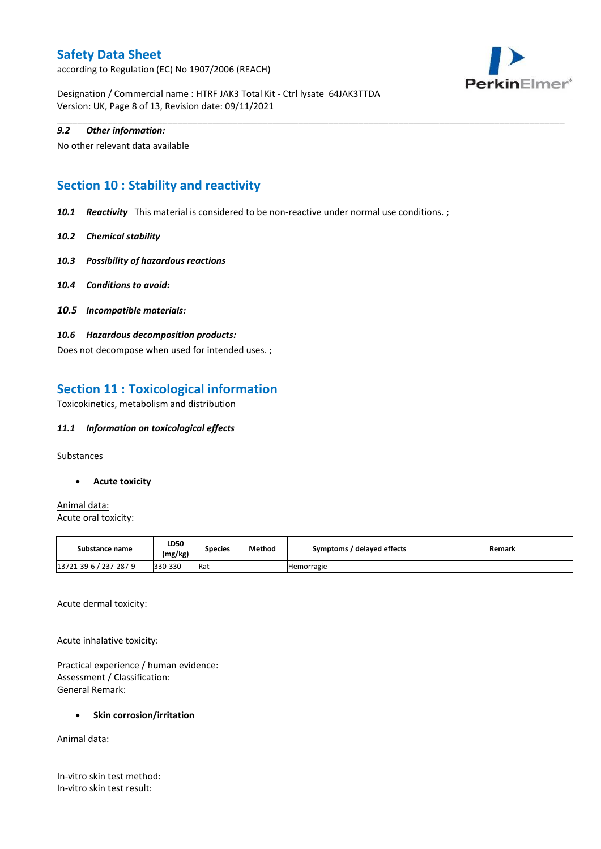according to Regulation (EC) No 1907/2006 (REACH)



Designation / Commercial name : HTRF JAK3 Total Kit - Ctrl lysate 64JAK3TTDA Version: UK, Page 8 of 13, Revision date: 09/11/2021

### *9.2 Other information:*

No other relevant data available

## **Section 10 : Stability and reactivity**

*10.1 Reactivity* This material is considered to be non-reactive under normal use conditions. ;

\_\_\_\_\_\_\_\_\_\_\_\_\_\_\_\_\_\_\_\_\_\_\_\_\_\_\_\_\_\_\_\_\_\_\_\_\_\_\_\_\_\_\_\_\_\_\_\_\_\_\_\_\_\_\_\_\_\_\_\_\_\_\_\_\_\_\_\_\_\_\_\_\_\_\_\_\_\_\_\_\_\_\_\_\_\_\_\_\_\_\_\_\_\_\_\_\_\_\_\_\_

- *10.2 Chemical stability*
- *10.3 Possibility of hazardous reactions*
- *10.4 Conditions to avoid:*
- *10.5 Incompatible materials:*
- *10.6 Hazardous decomposition products:*

Does not decompose when used for intended uses. ;

## **Section 11 : Toxicological information**

Toxicokinetics, metabolism and distribution

### *11.1 Information on toxicological effects*

**Substances** 

**Acute toxicity**

Animal data: Acute oral toxicity:

| Substance name         | <b>LD50</b><br>(mg/kg) | <b>Species</b> | Method | Symptoms / delayed effects | Remark |
|------------------------|------------------------|----------------|--------|----------------------------|--------|
| 13721-39-6 / 237-287-9 | 330-330                | Rat            |        | Hemorragie                 |        |

Acute dermal toxicity:

Acute inhalative toxicity:

Practical experience / human evidence: Assessment / Classification: General Remark:

#### **Skin corrosion/irritation**

Animal data:

In-vitro skin test method: In-vitro skin test result: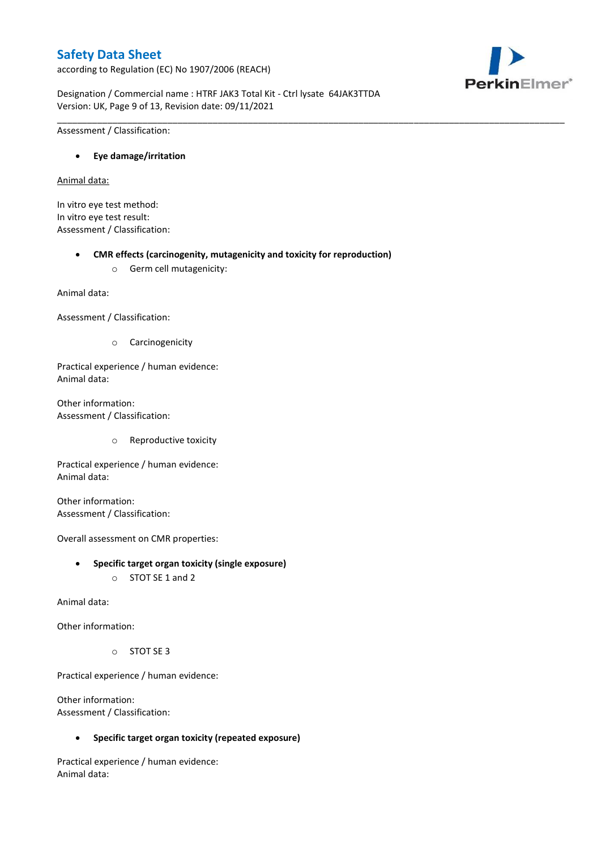according to Regulation (EC) No 1907/2006 (REACH)



Designation / Commercial name : HTRF JAK3 Total Kit - Ctrl lysate 64JAK3TTDA Version: UK, Page 9 of 13, Revision date: 09/11/2021

\_\_\_\_\_\_\_\_\_\_\_\_\_\_\_\_\_\_\_\_\_\_\_\_\_\_\_\_\_\_\_\_\_\_\_\_\_\_\_\_\_\_\_\_\_\_\_\_\_\_\_\_\_\_\_\_\_\_\_\_\_\_\_\_\_\_\_\_\_\_\_\_\_\_\_\_\_\_\_\_\_\_\_\_\_\_\_\_\_\_\_\_\_\_\_\_\_\_\_\_\_

Assessment / Classification:

### **Eye damage/irritation**

Animal data:

In vitro eye test method: In vitro eye test result: Assessment / Classification:

#### **CMR effects (carcinogenity, mutagenicity and toxicity for reproduction)**

o Germ cell mutagenicity:

Animal data:

Assessment / Classification:

o Carcinogenicity

Practical experience / human evidence: Animal data:

Other information: Assessment / Classification:

o Reproductive toxicity

Practical experience / human evidence: Animal data:

Other information: Assessment / Classification:

Overall assessment on CMR properties:

- **Specific target organ toxicity (single exposure)**
	- o STOT SE 1 and 2

Animal data:

Other information:

o STOT SE 3

Practical experience / human evidence:

Other information: Assessment / Classification:

**Specific target organ toxicity (repeated exposure)**

Practical experience / human evidence: Animal data: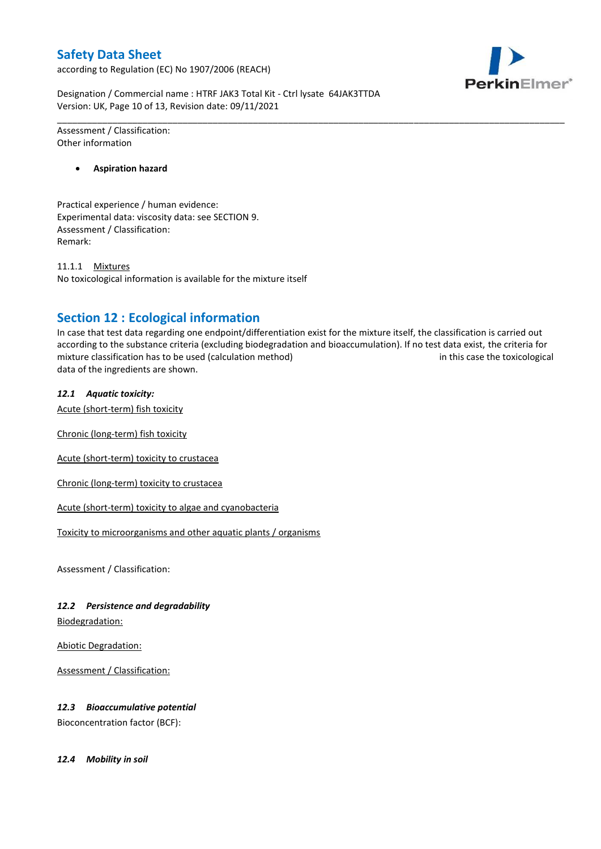according to Regulation (EC) No 1907/2006 (REACH)



Designation / Commercial name : HTRF JAK3 Total Kit - Ctrl lysate 64JAK3TTDA Version: UK, Page 10 of 13, Revision date: 09/11/2021

Assessment / Classification: Other information

**Aspiration hazard**

Practical experience / human evidence: Experimental data: viscosity data: see SECTION 9. Assessment / Classification: Remark:

11.1.1 Mixtures No toxicological information is available for the mixture itself

## **Section 12 : Ecological information**

In case that test data regarding one endpoint/differentiation exist for the mixture itself, the classification is carried out according to the substance criteria (excluding biodegradation and bioaccumulation). If no test data exist, the criteria for mixture classification has to be used (calculation method) in this case the toxicological data of the ingredients are shown.

\_\_\_\_\_\_\_\_\_\_\_\_\_\_\_\_\_\_\_\_\_\_\_\_\_\_\_\_\_\_\_\_\_\_\_\_\_\_\_\_\_\_\_\_\_\_\_\_\_\_\_\_\_\_\_\_\_\_\_\_\_\_\_\_\_\_\_\_\_\_\_\_\_\_\_\_\_\_\_\_\_\_\_\_\_\_\_\_\_\_\_\_\_\_\_\_\_\_\_\_\_

### *12.1 Aquatic toxicity:*

Acute (short-term) fish toxicity

Chronic (long-term) fish toxicity

Acute (short-term) toxicity to crustacea

Chronic (long-term) toxicity to crustacea

Acute (short-term) toxicity to algae and cyanobacteria

Toxicity to microorganisms and other aquatic plants / organisms

Assessment / Classification:

## *12.2 Persistence and degradability*

Biodegradation:

Abiotic Degradation:

Assessment / Classification:

## *12.3 Bioaccumulative potential*

Bioconcentration factor (BCF):

*12.4 Mobility in soil*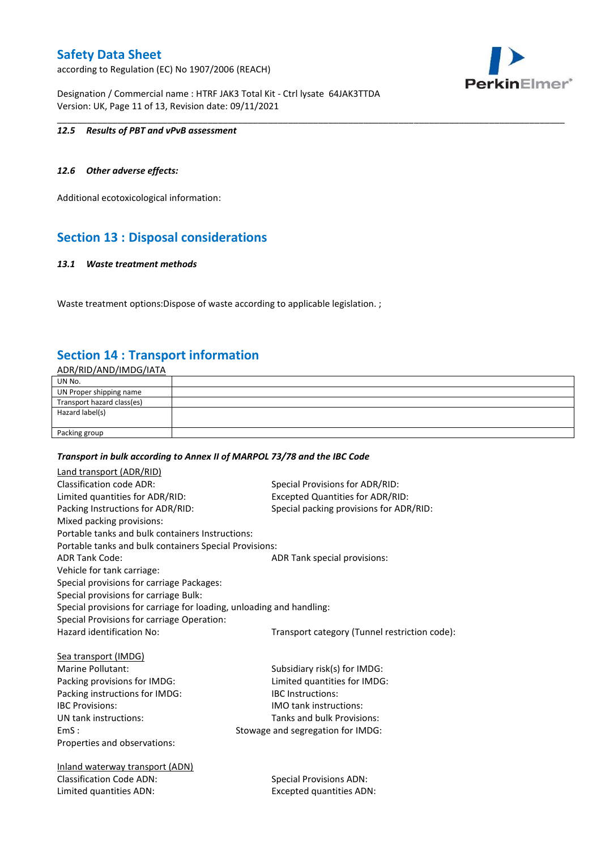according to Regulation (EC) No 1907/2006 (REACH)



Designation / Commercial name : HTRF JAK3 Total Kit - Ctrl lysate 64JAK3TTDA Version: UK, Page 11 of 13, Revision date: 09/11/2021

### *12.5 Results of PBT and vPvB assessment*

### *12.6 Other adverse effects:*

Additional ecotoxicological information:

## **Section 13 : Disposal considerations**

#### *13.1 Waste treatment methods*

Waste treatment options: Dispose of waste according to applicable legislation. ;

## **Section 14 : Transport information**

ADR/RID/AND/IMDG/IATA

| UN No.                     |  |
|----------------------------|--|
| UN Proper shipping name    |  |
| Transport hazard class(es) |  |
| Hazard label(s)            |  |
|                            |  |
| Packing group              |  |

\_\_\_\_\_\_\_\_\_\_\_\_\_\_\_\_\_\_\_\_\_\_\_\_\_\_\_\_\_\_\_\_\_\_\_\_\_\_\_\_\_\_\_\_\_\_\_\_\_\_\_\_\_\_\_\_\_\_\_\_\_\_\_\_\_\_\_\_\_\_\_\_\_\_\_\_\_\_\_\_\_\_\_\_\_\_\_\_\_\_\_\_\_\_\_\_\_\_\_\_\_

#### *Transport in bulk according to Annex II of MARPOL 73/78 and the IBC Code*

| Land transport (ADR/RID)                                             |                                               |
|----------------------------------------------------------------------|-----------------------------------------------|
| Classification code ADR:                                             | Special Provisions for ADR/RID:               |
| Limited quantities for ADR/RID:                                      | <b>Excepted Quantities for ADR/RID:</b>       |
| Packing Instructions for ADR/RID:                                    | Special packing provisions for ADR/RID:       |
| Mixed packing provisions:                                            |                                               |
| Portable tanks and bulk containers Instructions:                     |                                               |
| Portable tanks and bulk containers Special Provisions:               |                                               |
| <b>ADR Tank Code:</b>                                                | ADR Tank special provisions:                  |
| Vehicle for tank carriage:                                           |                                               |
| Special provisions for carriage Packages:                            |                                               |
| Special provisions for carriage Bulk:                                |                                               |
| Special provisions for carriage for loading, unloading and handling: |                                               |
| Special Provisions for carriage Operation:                           |                                               |
| Hazard identification No:                                            | Transport category (Tunnel restriction code): |
|                                                                      |                                               |
| <b>Sea transport (IMDG)</b>                                          |                                               |
| Marine Pollutant:                                                    | Subsidiary risk(s) for IMDG:                  |
| Packing provisions for IMDG:                                         | Limited quantities for IMDG:                  |
| Packing instructions for IMDG:                                       | <b>IBC</b> Instructions:                      |
| <b>IBC Provisions:</b>                                               | <b>IMO</b> tank instructions:                 |
| UN tank instructions:                                                | Tanks and bulk Provisions:                    |
| EmS:                                                                 | Stowage and segregation for IMDG:             |
| Properties and observations:                                         |                                               |
|                                                                      |                                               |
| Inland waterway transport (ADN)                                      |                                               |
| <b>Classification Code ADN:</b>                                      | <b>Special Provisions ADN:</b>                |
| Limited quantities ADN:                                              | <b>Excepted quantities ADN:</b>               |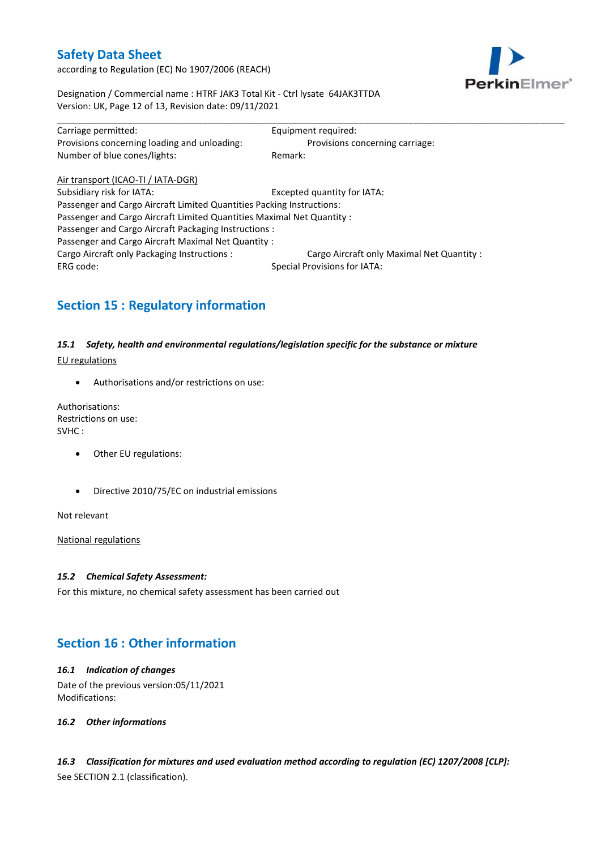according to Regulation (EC) No 1907/2006 (REACH)



Designation / Commercial name : HTRF JAK3 Total Kit - Ctrl lysate 64JAK3TTDA Version: UK, Page 12 of 13, Revision date: 09/11/2021

| Carriage permitted:                                                    | Equipment required:                       |  |  |  |
|------------------------------------------------------------------------|-------------------------------------------|--|--|--|
| Provisions concerning loading and unloading:                           | Provisions concerning carriage:           |  |  |  |
| Number of blue cones/lights:                                           | Remark:                                   |  |  |  |
| Air transport (ICAO-TI / IATA-DGR)                                     |                                           |  |  |  |
| Subsidiary risk for IATA:                                              | Excepted quantity for IATA:               |  |  |  |
| Passenger and Cargo Aircraft Limited Quantities Packing Instructions:  |                                           |  |  |  |
| Passenger and Cargo Aircraft Limited Quantities Maximal Net Quantity : |                                           |  |  |  |
| Passenger and Cargo Aircraft Packaging Instructions :                  |                                           |  |  |  |
| Passenger and Cargo Aircraft Maximal Net Quantity:                     |                                           |  |  |  |
| Cargo Aircraft only Packaging Instructions :                           | Cargo Aircraft only Maximal Net Quantity: |  |  |  |
| <b>Special Provisions for IATA:</b><br>ERG code:                       |                                           |  |  |  |

# **Section 15 : Regulatory information**

## *15.1 Safety, health and environmental regulations/legislation specific for the substance or mixture*

EU regulations

Authorisations and/or restrictions on use:

Authorisations: Restrictions on use: SVHC :

- Other EU regulations:
- Directive 2010/75/EC on industrial emissions

Not relevant

National regulations

#### *15.2 Chemical Safety Assessment:*

For this mixture, no chemical safety assessment has been carried out

## **Section 16 : Other information**

### *16.1 Indication of changes* Date of the previous version:05/11/2021 Modifications:

*16.2 Other informations*

*16.3 Classification for mixtures and used evaluation method according to regulation (EC) 1207/2008 [CLP]:* See SECTION 2.1 (classification).